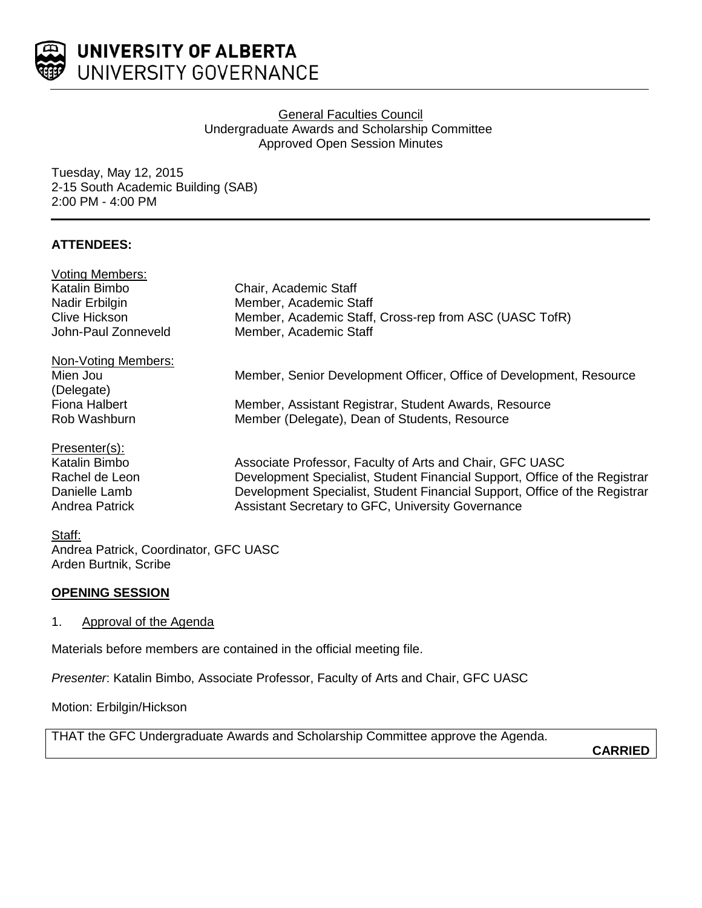

## **General Faculties Council** Undergraduate Awards and Scholarship Committee Approved Open Session Minutes

Tuesday, May 12, 2015 2-15 South Academic Building (SAB) 2:00 PM - 4:00 PM

# **ATTENDEES:**

| <b>Voting Members:</b> |                                                                            |
|------------------------|----------------------------------------------------------------------------|
| Katalin Bimbo          | Chair, Academic Staff                                                      |
| Nadir Erbilgin         | Member, Academic Staff                                                     |
| <b>Clive Hickson</b>   | Member, Academic Staff, Cross-rep from ASC (UASC TofR)                     |
| John-Paul Zonneveld    | Member, Academic Staff                                                     |
| Non-Voting Members:    |                                                                            |
| Mien Jou               | Member, Senior Development Officer, Office of Development, Resource        |
| (Delegate)             |                                                                            |
| Fiona Halbert          | Member, Assistant Registrar, Student Awards, Resource                      |
| Rob Washburn           | Member (Delegate), Dean of Students, Resource                              |
| Presenter(s):          |                                                                            |
| Katalin Bimbo          | Associate Professor, Faculty of Arts and Chair, GFC UASC                   |
| Rachel de Leon         | Development Specialist, Student Financial Support, Office of the Registrar |
| Danielle Lamb          | Development Specialist, Student Financial Support, Office of the Registrar |
| Andrea Patrick         | Assistant Secretary to GFC, University Governance                          |
|                        |                                                                            |

# Staff:

Andrea Patrick, Coordinator, GFC UASC Arden Burtnik, Scribe

## **OPENING SESSION**

1. Approval of the Agenda

Materials before members are contained in the official meeting file.

*Presenter*: Katalin Bimbo, Associate Professor, Faculty of Arts and Chair, GFC UASC

Motion: Erbilgin/Hickson

THAT the GFC Undergraduate Awards and Scholarship Committee approve the Agenda.

**CARRIED**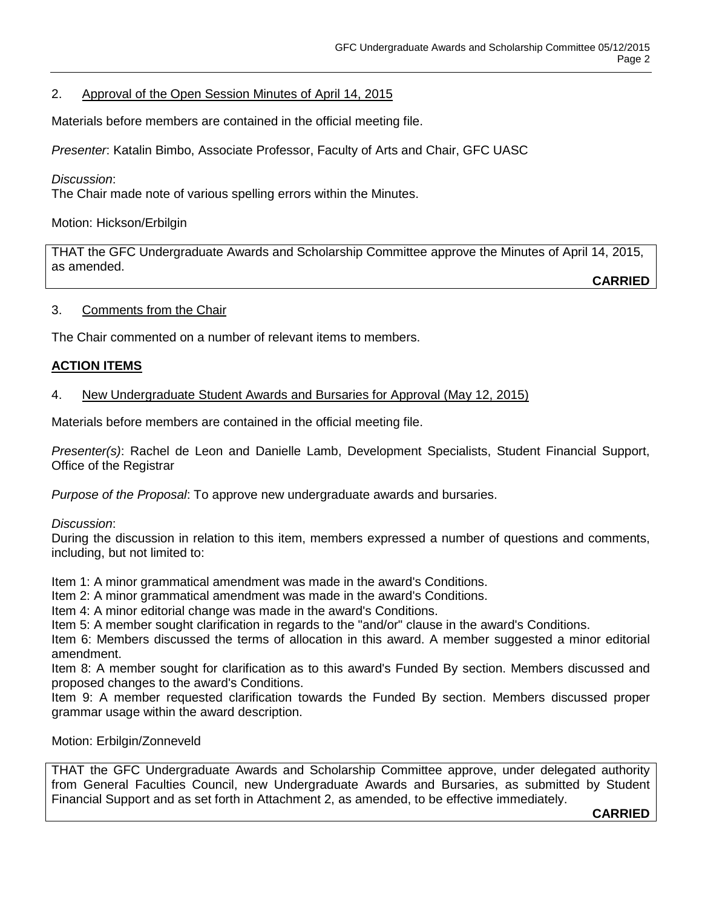# 2. Approval of the Open Session Minutes of April 14, 2015

Materials before members are contained in the official meeting file.

*Presenter*: Katalin Bimbo, Associate Professor, Faculty of Arts and Chair, GFC UASC

### *Discussion*:

The Chair made note of various spelling errors within the Minutes.

Motion: Hickson/Erbilgin

THAT the GFC Undergraduate Awards and Scholarship Committee approve the Minutes of April 14, 2015, as amended.

**CARRIED**

### 3. Comments from the Chair

The Chair commented on a number of relevant items to members.

## **ACTION ITEMS**

## 4. New Undergraduate Student Awards and Bursaries for Approval (May 12, 2015)

Materials before members are contained in the official meeting file.

*Presenter(s)*: Rachel de Leon and Danielle Lamb, Development Specialists, Student Financial Support, Office of the Registrar

*Purpose of the Proposal*: To approve new undergraduate awards and bursaries.

#### *Discussion*:

During the discussion in relation to this item, members expressed a number of questions and comments, including, but not limited to:

Item 1: A minor grammatical amendment was made in the award's Conditions.

Item 2: A minor grammatical amendment was made in the award's Conditions.

Item 4: A minor editorial change was made in the award's Conditions.

Item 5: A member sought clarification in regards to the "and/or" clause in the award's Conditions.

Item 6: Members discussed the terms of allocation in this award. A member suggested a minor editorial amendment.

Item 8: A member sought for clarification as to this award's Funded By section. Members discussed and proposed changes to the award's Conditions.

Item 9: A member requested clarification towards the Funded By section. Members discussed proper grammar usage within the award description.

Motion: Erbilgin/Zonneveld

THAT the GFC Undergraduate Awards and Scholarship Committee approve, under delegated authority from General Faculties Council, new Undergraduate Awards and Bursaries, as submitted by Student Financial Support and as set forth in Attachment 2, as amended, to be effective immediately.

**CARRIED**